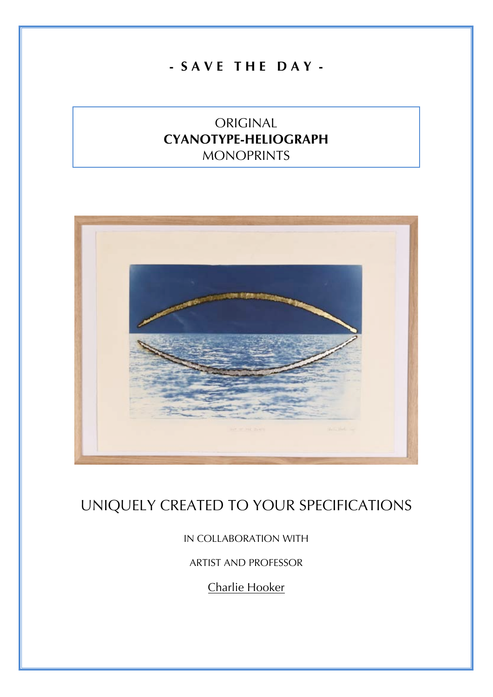# **- S A V E T H E D A Y -**

## ORIGINAL **CYANOTYPE-HELIOGRAPH** MONOPRINTS



# UNIQUELY CREATED TO YOUR SPECIFICATIONS

### IN COLLABORATION WITH

ARTIST AND PROFESSOR

Charlie Hooker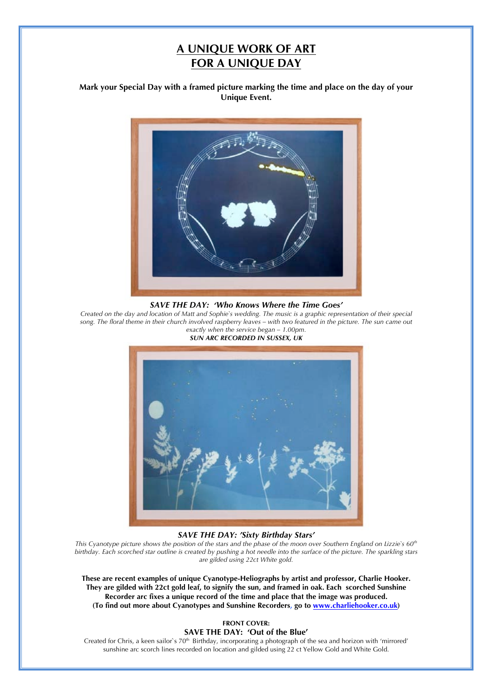### **A UNIQUE WORK OF ART FOR A UNIQUE DAY**

**Mark your Special Day with a framed picture marking the time and place on the day of your Unique Event.**



### *SAVE THE DAY: 'Who Knows Where the Time Goes'*

*Created on the day and location of Matt and Sophie`s wedding. The music is a graphic representation of their special song. The floral theme in their church involved raspberry leaves – with two featured in the picture. The sun came out exactly when the service began – 1.00pm.*



#### *SAVE THE DAY: 'Sixty Birthday Stars'*

*This Cyanotype picture shows the position of the stars and the phase of the moon over Southern England on Lizzie`s 60th birthday. Each scorched star outline is created by pushing a hot needle into the surface of the picture. The sparkling stars are gilded using 22ct White gold.*

**These are recent examples of unique Cyanotype-Heliographs by artist and professor, Charlie Hooker. They are gilded with 22ct gold leaf, to signify the sun, and framed in oak. Each scorched Sunshine Recorder arc fixes a unique record of the time and place that the image was produced. (To find out more about Cyanotypes and Sunshine Recorders, go to www.charliehooker.co.uk)**

> **FRONT COVER: SAVE THE DAY: 'Out of the Blue'**

Created for Chris, a keen sailor's 70<sup>th</sup> Birthday, incorporating a photograph of the sea and horizon with 'mirrored' sunshine arc scorch lines recorded on location and gilded using 22 ct Yellow Gold and White Gold.

*SUN ARC RECORDED IN SUSSEX, UK*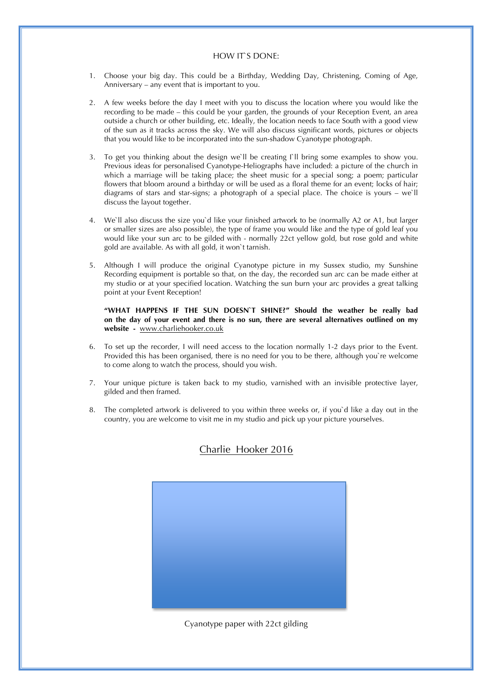#### HOW IT`S DONE:

- 1. Choose your big day. This could be a Birthday, Wedding Day, Christening, Coming of Age, Anniversary – any event that is important to you.
- 2. A few weeks before the day I meet with you to discuss the location where you would like the recording to be made – this could be your garden, the grounds of your Reception Event, an area outside a church or other building, etc. Ideally, the location needs to face South with a good view of the sun as it tracks across the sky. We will also discuss significant words, pictures or objects that you would like to be incorporated into the sun-shadow Cyanotype photograph.
- 3. To get you thinking about the design we`ll be creating I`ll bring some examples to show you. Previous ideas for personalised Cyanotype-Heliographs have included: a picture of the church in which a marriage will be taking place; the sheet music for a special song; a poem; particular flowers that bloom around a birthday or will be used as a floral theme for an event; locks of hair; diagrams of stars and star-signs; a photograph of a special place. The choice is yours – we`ll discuss the layout together.
- 4. We`ll also discuss the size you`d like your finished artwork to be (normally A2 or A1, but larger or smaller sizes are also possible), the type of frame you would like and the type of gold leaf you would like your sun arc to be gilded with - normally 22ct yellow gold, but rose gold and white gold are available. As with all gold, it won`t tarnish.
- 5. Although I will produce the original Cyanotype picture in my Sussex studio, my Sunshine Recording equipment is portable so that, on the day, the recorded sun arc can be made either at my studio or at your specified location. Watching the sun burn your arc provides a great talking point at your Event Reception!

**"WHAT HAPPENS IF THE SUN DOESN`T SHINE?" Should the weather be really bad on the day of your event and there is no sun, there are several alternatives outlined on my website -** www.charliehooker.co.uk

- 6. To set up the recorder, I will need access to the location normally 1-2 days prior to the Event. Provided this has been organised, there is no need for you to be there, although you`re welcome to come along to watch the process, should you wish.
- 7. Your unique picture is taken back to my studio, varnished with an invisible protective layer, gilded and then framed.
- 8. The completed artwork is delivered to you within three weeks or, if you`d like a day out in the country, you are welcome to visit me in my studio and pick up your picture yourselves.



Charlie Hooker 2016

Cyanotype paper with 22ct gilding